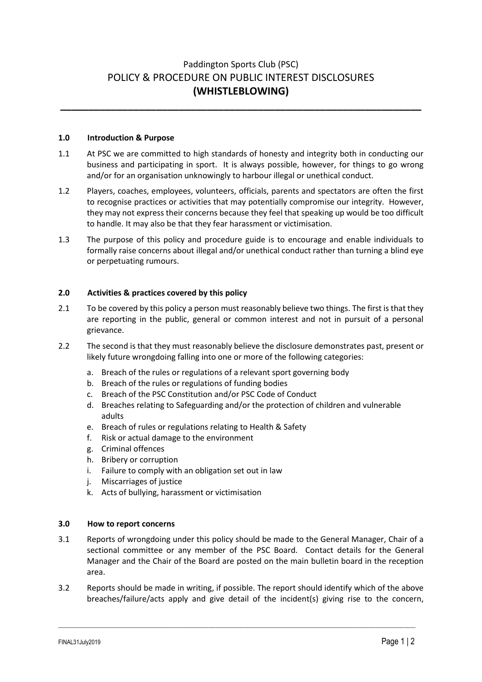# Paddington Sports Club (PSC) POLICY & PROCEDURE ON PUBLIC INTEREST DISCLOSURES **(WHISTLEBLOWING)**

**\_\_\_\_\_\_\_\_\_\_\_\_\_\_\_\_\_\_\_\_\_\_\_\_\_\_\_\_\_\_\_\_\_\_\_\_\_\_\_\_\_\_\_\_\_\_\_\_\_\_\_\_\_\_\_\_\_\_\_\_\_\_\_\_**

## **1.0 Introduction & Purpose**

- 1.1 At PSC we are committed to high standards of honesty and integrity both in conducting our business and participating in sport. It is always possible, however, for things to go wrong and/or for an organisation unknowingly to harbour illegal or unethical conduct.
- 1.2 Players, coaches, employees, volunteers, officials, parents and spectators are often the first to recognise practices or activities that may potentially compromise our integrity. However, they may not express their concerns because they feel that speaking up would be too difficult to handle. It may also be that they fear harassment or victimisation.
- 1.3 The purpose of this policy and procedure guide is to encourage and enable individuals to formally raise concerns about illegal and/or unethical conduct rather than turning a blind eye or perpetuating rumours.

## **2.0 Activities & practices covered by this policy**

- 2.1 To be covered by this policy a person must reasonably believe two things. The first is that they are reporting in the public, general or common interest and not in pursuit of a personal grievance.
- 2.2 The second is that they must reasonably believe the disclosure demonstrates past, present or likely future wrongdoing falling into one or more of the following categories:
	- a. Breach of the rules or regulations of a relevant sport governing body
	- b. Breach of the rules or regulations of funding bodies
	- c. Breach of the PSC Constitution and/or PSC Code of Conduct
	- d. Breaches relating to Safeguarding and/or the protection of children and vulnerable adults
	- e. Breach of rules or regulations relating to Health & Safety
	- f. Risk or actual damage to the environment
	- g. Criminal offences
	- h. Bribery or corruption
	- i. Failure to comply with an obligation set out in law
	- j. Miscarriages of justice
	- k. Acts of bullying, harassment or victimisation

## **3.0 How to report concerns**

- 3.1 Reports of wrongdoing under this policy should be made to the General Manager, Chair of a sectional committee or any member of the PSC Board. Contact details for the General Manager and the Chair of the Board are posted on the main bulletin board in the reception area.
- 3.2 Reports should be made in writing, if possible. The report should identify which of the above breaches/failure/acts apply and give detail of the incident(s) giving rise to the concern,

 $\_$  ,  $\_$  ,  $\_$  ,  $\_$  ,  $\_$  ,  $\_$  ,  $\_$  ,  $\_$  ,  $\_$  ,  $\_$  ,  $\_$  ,  $\_$  ,  $\_$  ,  $\_$  ,  $\_$  ,  $\_$  ,  $\_$  ,  $\_$  ,  $\_$  ,  $\_$  ,  $\_$  ,  $\_$  ,  $\_$  ,  $\_$  ,  $\_$  ,  $\_$  ,  $\_$  ,  $\_$  ,  $\_$  ,  $\_$  ,  $\_$  ,  $\_$  ,  $\_$  ,  $\_$  ,  $\_$  ,  $\_$  ,  $\_$  ,